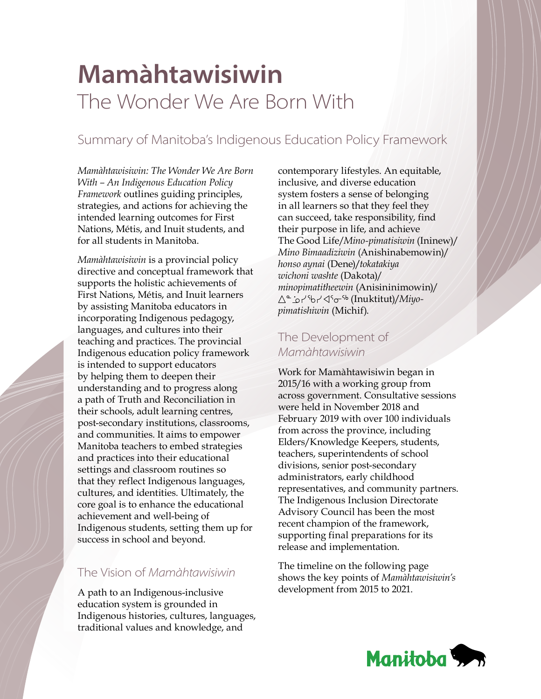# **Mamàhtawisiwin** The Wonder We Are Born With

### Summary of Manitoba's Indigenous Education Policy Framework

*Mamàhtawisiwin: The Wonder We Are Born With – An Indigenous Education Policy Framework* outlines guiding principles, strategies, and actions for achieving the intended learning outcomes for First Nations, Métis, and Inuit students, and for all students in Manitoba.

*Mamàhtawisiwin* is a provincial policy directive and conceptual framework that supports the holistic achievements of First Nations, Métis, and Inuit learners by assisting Manitoba educators in incorporating Indigenous pedagogy, languages, and cultures into their teaching and practices. The provincial Indigenous education policy framework is intended to support educators by helping them to deepen their understanding and to progress along a path of Truth and Reconciliation in their schools, adult learning centres, post-secondary institutions, classrooms, and communities. It aims to empower Manitoba teachers to embed strategies and practices into their educational settings and classroom routines so that they reflect Indigenous languages, cultures, and identities. Ultimately, the core goal is to enhance the educational achievement and well-being of Indigenous students, setting them up for success in school and beyond.

#### The Vision of *Mamàhtawisiwin*

A path to an Indigenous-inclusive education system is grounded in Indigenous histories, cultures, languages, traditional values and knowledge, and

contemporary lifestyles. An equitable, inclusive, and diverse education system fosters a sense of belonging in all learners so that they feel they can succeed, take responsibility, find their purpose in life, and achieve The Good Life/*Mino-pimatisiwin* (Ininew)/ *Mino Bimaadiziwin* (Anishinabemowin)/ *honso aynai* (Dene)/*tokatakiya wichoni washte* (Dakota)/ *minopimatitheewin* (Anisininimowin)/ (Inuktitut)/*Miyopimatishiwin* (Michif).

### The Development of *Mamàhtawisiwin*

Work for Mamàhtawisiwin began in 2015/16 with a working group from across government. Consultative sessions were held in November 2018 and February 2019 with over 100 individuals from across the province, including Elders/Knowledge Keepers, students, teachers, superintendents of school divisions, senior post-secondary administrators, early childhood representatives, and community partners. The Indigenous Inclusion Directorate Advisory Council has been the most recent champion of the framework, supporting final preparations for its release and implementation.

The timeline on the following page shows the key points of *Mamàhtawisiwin's*  development from 2015 to 2021.